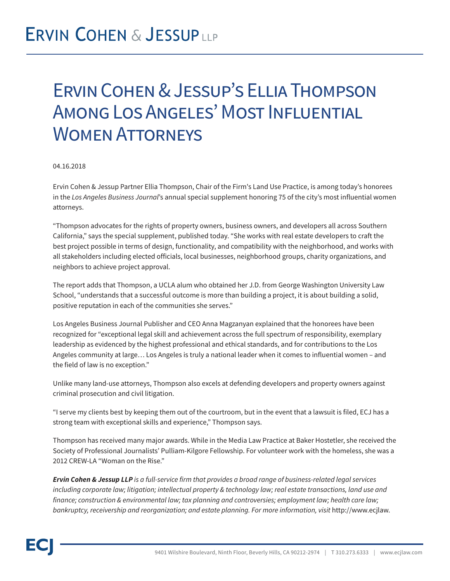## Ervin Cohen & Jessup's Ellia Thompson Among Los Angeles' Most Influential WOMEN ATTORNEYS

## 04.16.2018

Ervin Cohen & Jessup Partner Ellia Thompson, Chair of the Firm's Land Use Practice, is among today's honorees in the *Los Angeles Business Journal*'s annual special supplement honoring 75 of the city's most influential women attorneys.

"Thompson advocates for the rights of property owners, business owners, and developers all across Southern California," says the special supplement, published today. "She works with real estate developers to craft the best project possible in terms of design, functionality, and compatibility with the neighborhood, and works with all stakeholders including elected officials, local businesses, neighborhood groups, charity organizations, and neighbors to achieve project approval.

The report adds that Thompson, a UCLA alum who obtained her J.D. from George Washington University Law School, "understands that a successful outcome is more than building a project, it is about building a solid, positive reputation in each of the communities she serves."

Los Angeles Business Journal Publisher and CEO Anna Magzanyan explained that the honorees have been recognized for "exceptional legal skill and achievement across the full spectrum of responsibility, exemplary leadership as evidenced by the highest professional and ethical standards, and for contributions to the Los Angeles community at large… Los Angeles is truly a national leader when it comes to influential women – and the field of law is no exception."

Unlike many land-use attorneys, Thompson also excels at defending developers and property owners against criminal prosecution and civil litigation.

"I serve my clients best by keeping them out of the courtroom, but in the event that a lawsuit is filed, ECJ has a strong team with exceptional skills and experience," Thompson says.

Thompson has received many major awards. While in the Media Law Practice at Baker Hostetler, she received the Society of Professional Journalists' Pulliam-Kilgore Fellowship. For volunteer work with the homeless, she was a 2012 CREW-LA "Woman on the Rise."

*Ervin Cohen & Jessup LLP is a full-service firm that provides a broad range of business-related legal services including corporate law; litigation; intellectual property & technology law; real estate transactions, land use and finance; construction & environmental law; tax planning and controversies; employment law; health care law; bankruptcy, receivership and reorganization; and estate planning. For more information, visit* http://www.ecjlaw.